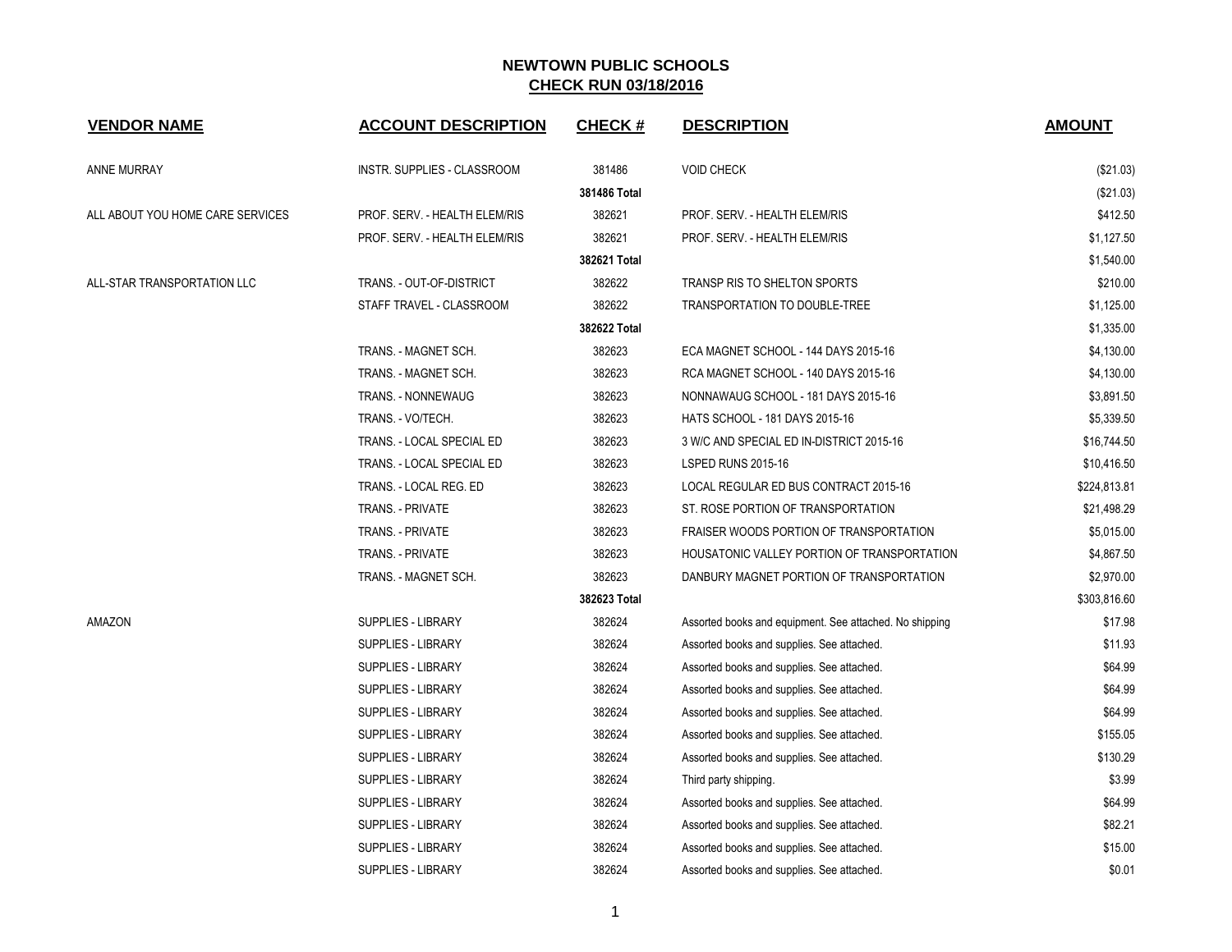| <b>VENDOR NAME</b>               | <b>ACCOUNT DESCRIPTION</b>    | <b>CHECK#</b> | <b>DESCRIPTION</b>                                      | <b>AMOUNT</b> |
|----------------------------------|-------------------------------|---------------|---------------------------------------------------------|---------------|
| ANNE MURRAY                      | INSTR. SUPPLIES - CLASSROOM   | 381486        | <b>VOID CHECK</b>                                       | (\$21.03)     |
|                                  |                               | 381486 Total  |                                                         | (\$21.03)     |
| ALL ABOUT YOU HOME CARE SERVICES | PROF. SERV. - HEALTH ELEM/RIS | 382621        | PROF. SERV. - HEALTH ELEM/RIS                           | \$412.50      |
|                                  | PROF. SERV. - HEALTH ELEM/RIS | 382621        | PROF. SERV. - HEALTH ELEM/RIS                           | \$1,127.50    |
|                                  |                               | 382621 Total  |                                                         | \$1,540.00    |
| ALL-STAR TRANSPORTATION LLC      | TRANS. - OUT-OF-DISTRICT      | 382622        | TRANSP RIS TO SHELTON SPORTS                            | \$210.00      |
|                                  | STAFF TRAVEL - CLASSROOM      | 382622        | TRANSPORTATION TO DOUBLE-TREE                           | \$1,125.00    |
|                                  |                               | 382622 Total  |                                                         | \$1,335.00    |
|                                  | TRANS. - MAGNET SCH.          | 382623        | ECA MAGNET SCHOOL - 144 DAYS 2015-16                    | \$4,130.00    |
|                                  | TRANS. - MAGNET SCH.          | 382623        | RCA MAGNET SCHOOL - 140 DAYS 2015-16                    | \$4,130.00    |
|                                  | TRANS. - NONNEWAUG            | 382623        | NONNAWAUG SCHOOL - 181 DAYS 2015-16                     | \$3,891.50    |
|                                  | TRANS. - VO/TECH.             | 382623        | HATS SCHOOL - 181 DAYS 2015-16                          | \$5,339.50    |
|                                  | TRANS. - LOCAL SPECIAL ED     | 382623        | 3 W/C AND SPECIAL ED IN-DISTRICT 2015-16                | \$16,744.50   |
|                                  | TRANS. - LOCAL SPECIAL ED     | 382623        | <b>LSPED RUNS 2015-16</b>                               | \$10,416.50   |
|                                  | TRANS. - LOCAL REG. ED        | 382623        | LOCAL REGULAR ED BUS CONTRACT 2015-16                   | \$224,813.81  |
|                                  | <b>TRANS. - PRIVATE</b>       | 382623        | ST. ROSE PORTION OF TRANSPORTATION                      | \$21,498.29   |
|                                  | TRANS. - PRIVATE              | 382623        | FRAISER WOODS PORTION OF TRANSPORTATION                 | \$5,015.00    |
|                                  | <b>TRANS. - PRIVATE</b>       | 382623        | HOUSATONIC VALLEY PORTION OF TRANSPORTATION             | \$4,867.50    |
|                                  | TRANS. - MAGNET SCH.          | 382623        | DANBURY MAGNET PORTION OF TRANSPORTATION                | \$2,970.00    |
|                                  |                               | 382623 Total  |                                                         | \$303,816.60  |
| AMAZON                           | <b>SUPPLIES - LIBRARY</b>     | 382624        | Assorted books and equipment. See attached. No shipping | \$17.98       |
|                                  | SUPPLIES - LIBRARY            | 382624        | Assorted books and supplies. See attached.              | \$11.93       |
|                                  | <b>SUPPLIES - LIBRARY</b>     | 382624        | Assorted books and supplies. See attached.              | \$64.99       |
|                                  | <b>SUPPLIES - LIBRARY</b>     | 382624        | Assorted books and supplies. See attached.              | \$64.99       |
|                                  | SUPPLIES - LIBRARY            | 382624        | Assorted books and supplies. See attached.              | \$64.99       |
|                                  | <b>SUPPLIES - LIBRARY</b>     | 382624        | Assorted books and supplies. See attached.              | \$155.05      |
|                                  | SUPPLIES - LIBRARY            | 382624        | Assorted books and supplies. See attached.              | \$130.29      |
|                                  | <b>SUPPLIES - LIBRARY</b>     | 382624        | Third party shipping.                                   | \$3.99        |
|                                  | SUPPLIES - LIBRARY            | 382624        | Assorted books and supplies. See attached.              | \$64.99       |
|                                  | SUPPLIES - LIBRARY            | 382624        | Assorted books and supplies. See attached.              | \$82.21       |
|                                  | <b>SUPPLIES - LIBRARY</b>     | 382624        | Assorted books and supplies. See attached.              | \$15.00       |
|                                  | SUPPLIES - LIBRARY            | 382624        | Assorted books and supplies. See attached.              | \$0.01        |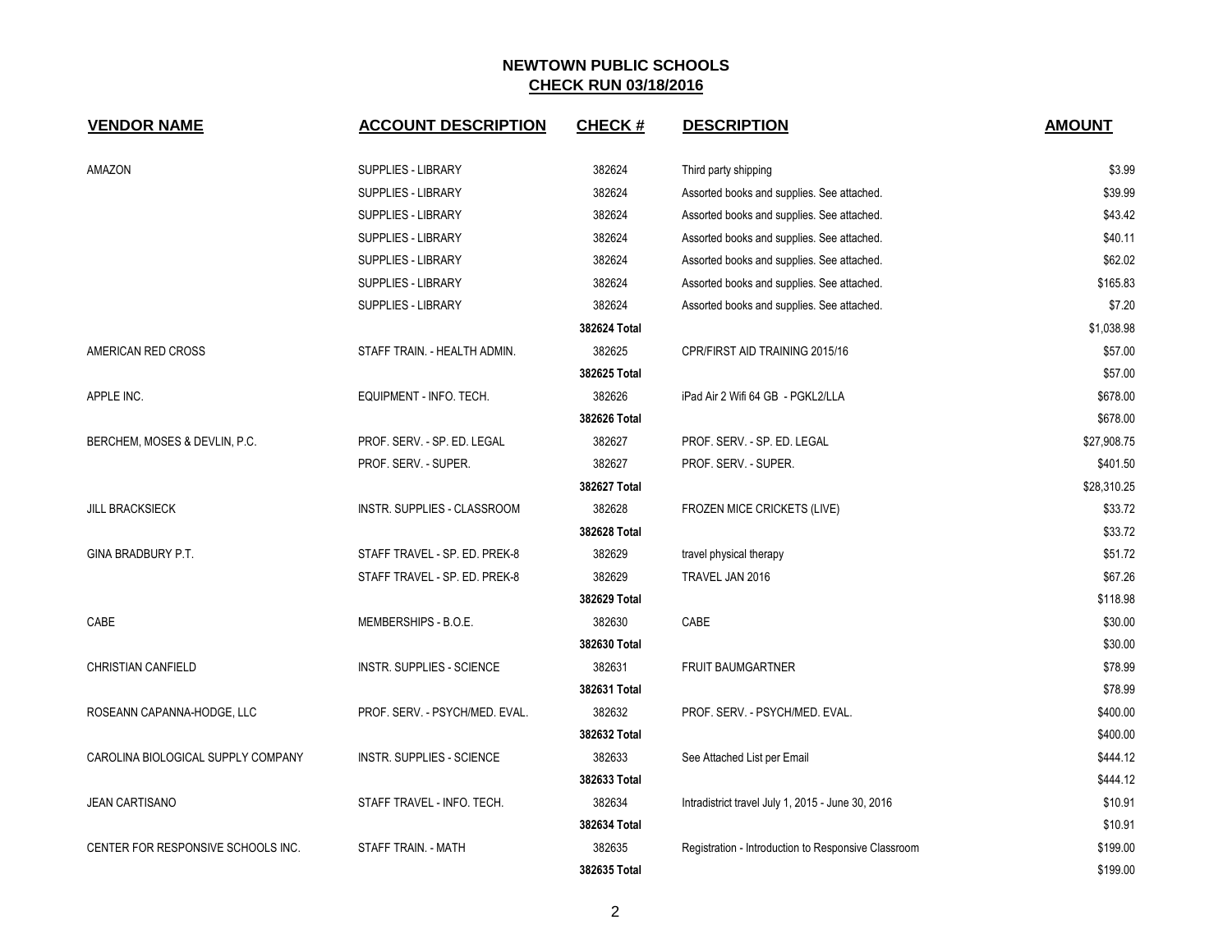| <b>VENDOR NAME</b>                 | <b>ACCOUNT DESCRIPTION</b>       | <b>CHECK#</b> | <b>DESCRIPTION</b>                                  | <b>AMOUNT</b> |
|------------------------------------|----------------------------------|---------------|-----------------------------------------------------|---------------|
| AMAZON                             | SUPPLIES - LIBRARY               | 382624        | Third party shipping                                | \$3.99        |
|                                    | SUPPLIES - LIBRARY               | 382624        | Assorted books and supplies. See attached.          | \$39.99       |
|                                    | <b>SUPPLIES - LIBRARY</b>        | 382624        | Assorted books and supplies. See attached.          | \$43.42       |
|                                    | SUPPLIES - LIBRARY               | 382624        | Assorted books and supplies. See attached.          | \$40.11       |
|                                    | SUPPLIES - LIBRARY               | 382624        | Assorted books and supplies. See attached.          | \$62.02       |
|                                    | SUPPLIES - LIBRARY               | 382624        | Assorted books and supplies. See attached.          | \$165.83      |
|                                    | SUPPLIES - LIBRARY               | 382624        | Assorted books and supplies. See attached.          | \$7.20        |
|                                    |                                  | 382624 Total  |                                                     | \$1,038.98    |
| AMERICAN RED CROSS                 | STAFF TRAIN. - HEALTH ADMIN.     | 382625        | CPR/FIRST AID TRAINING 2015/16                      | \$57.00       |
|                                    |                                  | 382625 Total  |                                                     | \$57.00       |
| APPLE INC.                         | EQUIPMENT - INFO. TECH.          | 382626        | iPad Air 2 Wifi 64 GB - PGKL2/LLA                   | \$678.00      |
|                                    |                                  | 382626 Total  |                                                     | \$678.00      |
| BERCHEM, MOSES & DEVLIN, P.C.      | PROF. SERV. - SP. ED. LEGAL      | 382627        | PROF. SERV. - SP. ED. LEGAL                         | \$27,908.75   |
|                                    | PROF. SERV. - SUPER.             | 382627        | PROF. SERV. - SUPER.                                | \$401.50      |
|                                    |                                  | 382627 Total  |                                                     | \$28,310.25   |
| <b>JILL BRACKSIECK</b>             | INSTR. SUPPLIES - CLASSROOM      | 382628        | FROZEN MICE CRICKETS (LIVE)                         | \$33.72       |
|                                    |                                  | 382628 Total  |                                                     | \$33.72       |
| GINA BRADBURY P.T.                 | STAFF TRAVEL - SP. ED. PREK-8    | 382629        | travel physical therapy                             | \$51.72       |
|                                    | STAFF TRAVEL - SP. ED. PREK-8    | 382629        | TRAVEL JAN 2016                                     | \$67.26       |
|                                    |                                  | 382629 Total  |                                                     | \$118.98      |
| CABE                               | MEMBERSHIPS - B.O.E.             | 382630        | CABE                                                | \$30.00       |
|                                    |                                  | 382630 Total  |                                                     | \$30.00       |
| CHRISTIAN CANFIELD                 | <b>INSTR. SUPPLIES - SCIENCE</b> | 382631        | <b>FRUIT BAUMGARTNER</b>                            | \$78.99       |
|                                    |                                  | 382631 Total  |                                                     | \$78.99       |
| ROSEANN CAPANNA-HODGE, LLC         | PROF. SERV. - PSYCH/MED. EVAL.   | 382632        | PROF. SERV. - PSYCH/MED. EVAL.                      | \$400.00      |
|                                    |                                  | 382632 Total  |                                                     | \$400.00      |
| CAROLINA BIOLOGICAL SUPPLY COMPANY | <b>INSTR. SUPPLIES - SCIENCE</b> | 382633        | See Attached List per Email                         | \$444.12      |
|                                    |                                  | 382633 Total  |                                                     | \$444.12      |
| <b>JEAN CARTISANO</b>              | STAFF TRAVEL - INFO. TECH.       | 382634        | Intradistrict travel July 1, 2015 - June 30, 2016   | \$10.91       |
|                                    |                                  | 382634 Total  |                                                     | \$10.91       |
| CENTER FOR RESPONSIVE SCHOOLS INC. | STAFF TRAIN. - MATH              | 382635        | Registration - Introduction to Responsive Classroom | \$199.00      |
|                                    |                                  | 382635 Total  |                                                     | \$199.00      |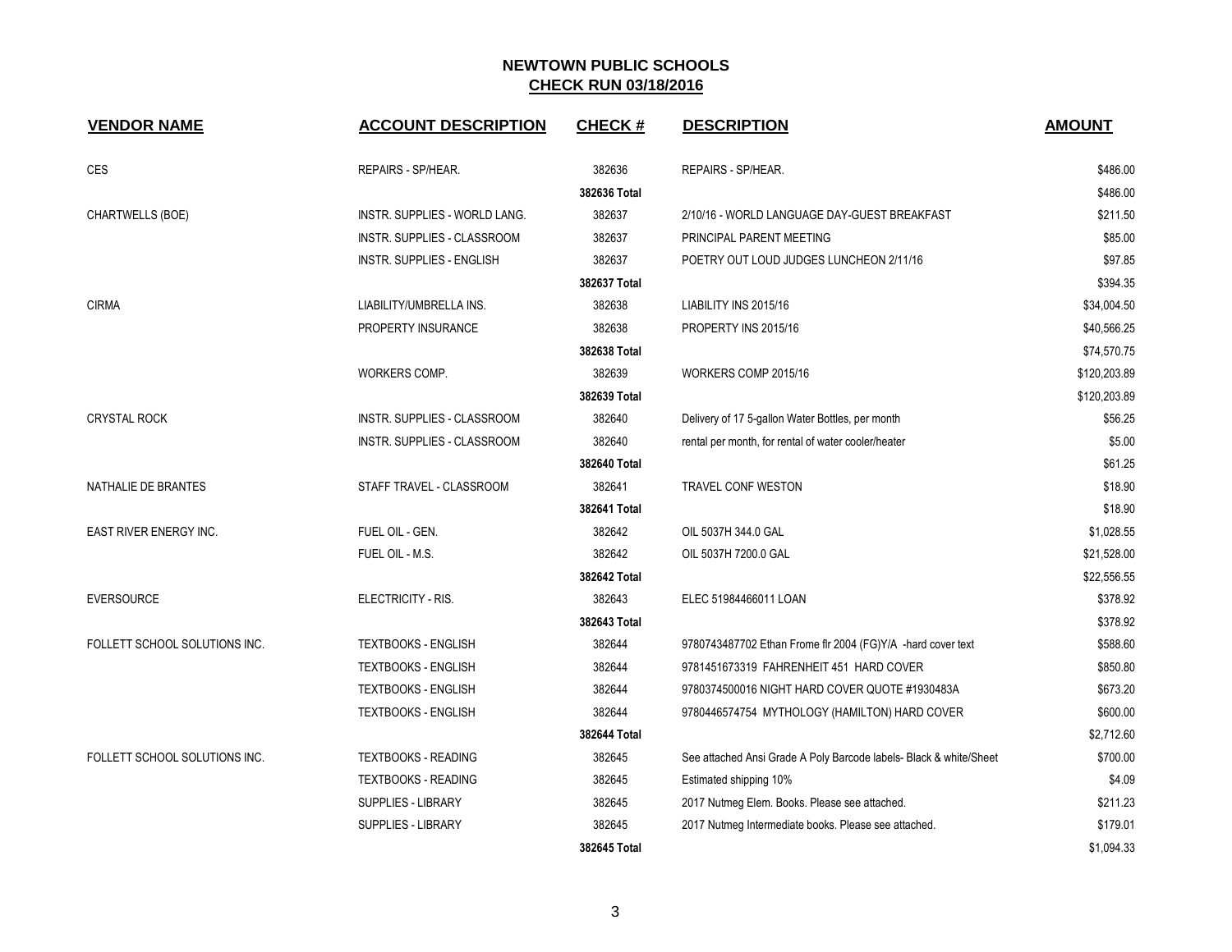| <b>VENDOR NAME</b>            | <b>ACCOUNT DESCRIPTION</b>         | <b>CHECK#</b> | <b>DESCRIPTION</b>                                                 | <b>AMOUNT</b> |
|-------------------------------|------------------------------------|---------------|--------------------------------------------------------------------|---------------|
| <b>CES</b>                    | REPAIRS - SP/HEAR.                 | 382636        | REPAIRS - SP/HEAR.                                                 | \$486.00      |
|                               |                                    | 382636 Total  |                                                                    | \$486.00      |
| CHARTWELLS (BOE)              | INSTR. SUPPLIES - WORLD LANG.      | 382637        | 2/10/16 - WORLD LANGUAGE DAY-GUEST BREAKFAST                       | \$211.50      |
|                               | <b>INSTR. SUPPLIES - CLASSROOM</b> | 382637        | PRINCIPAL PARENT MEETING                                           | \$85.00       |
|                               | <b>INSTR. SUPPLIES - ENGLISH</b>   | 382637        | POETRY OUT LOUD JUDGES LUNCHEON 2/11/16                            | \$97.85       |
|                               |                                    | 382637 Total  |                                                                    | \$394.35      |
| <b>CIRMA</b>                  | LIABILITY/UMBRELLA INS.            | 382638        | LIABILITY INS 2015/16                                              | \$34,004.50   |
|                               | PROPERTY INSURANCE                 | 382638        | PROPERTY INS 2015/16                                               | \$40,566.25   |
|                               |                                    | 382638 Total  |                                                                    | \$74,570.75   |
|                               | WORKERS COMP.                      | 382639        | WORKERS COMP 2015/16                                               | \$120,203.89  |
|                               |                                    | 382639 Total  |                                                                    | \$120,203.89  |
| <b>CRYSTAL ROCK</b>           | INSTR. SUPPLIES - CLASSROOM        | 382640        | Delivery of 17 5-gallon Water Bottles, per month                   | \$56.25       |
|                               | INSTR. SUPPLIES - CLASSROOM        | 382640        | rental per month, for rental of water cooler/heater                | \$5.00        |
|                               |                                    | 382640 Total  |                                                                    | \$61.25       |
| NATHALIE DE BRANTES           | STAFF TRAVEL - CLASSROOM           | 382641        | TRAVEL CONF WESTON                                                 | \$18.90       |
|                               |                                    | 382641 Total  |                                                                    | \$18.90       |
| EAST RIVER ENERGY INC.        | FUEL OIL - GEN.                    | 382642        | OIL 5037H 344.0 GAL                                                | \$1,028.55    |
|                               | FUEL OIL - M.S.                    | 382642        | OIL 5037H 7200.0 GAL                                               | \$21,528.00   |
|                               |                                    | 382642 Total  |                                                                    | \$22,556.55   |
| <b>EVERSOURCE</b>             | ELECTRICITY - RIS.                 | 382643        | ELEC 51984466011 LOAN                                              | \$378.92      |
|                               |                                    | 382643 Total  |                                                                    | \$378.92      |
| FOLLETT SCHOOL SOLUTIONS INC. | <b>TEXTBOOKS - ENGLISH</b>         | 382644        | 9780743487702 Ethan Frome fir 2004 (FG)Y/A -hard cover text        | \$588.60      |
|                               | <b>TEXTBOOKS - ENGLISH</b>         | 382644        | 9781451673319 FAHRENHEIT 451 HARD COVER                            | \$850.80      |
|                               | TEXTBOOKS - ENGLISH                | 382644        | 9780374500016 NIGHT HARD COVER QUOTE #1930483A                     | \$673.20      |
|                               | <b>TEXTBOOKS - ENGLISH</b>         | 382644        | 9780446574754 MYTHOLOGY (HAMILTON) HARD COVER                      | \$600.00      |
|                               |                                    | 382644 Total  |                                                                    | \$2,712.60    |
| FOLLETT SCHOOL SOLUTIONS INC. | <b>TEXTBOOKS - READING</b>         | 382645        | See attached Ansi Grade A Poly Barcode labels- Black & white/Sheet | \$700.00      |
|                               | <b>TEXTBOOKS - READING</b>         | 382645        | Estimated shipping 10%                                             | \$4.09        |
|                               | SUPPLIES - LIBRARY                 | 382645        | 2017 Nutmeg Elem. Books. Please see attached.                      | \$211.23      |
|                               | SUPPLIES - LIBRARY                 | 382645        | 2017 Nutmeg Intermediate books. Please see attached.               | \$179.01      |
|                               |                                    | 382645 Total  |                                                                    | \$1,094.33    |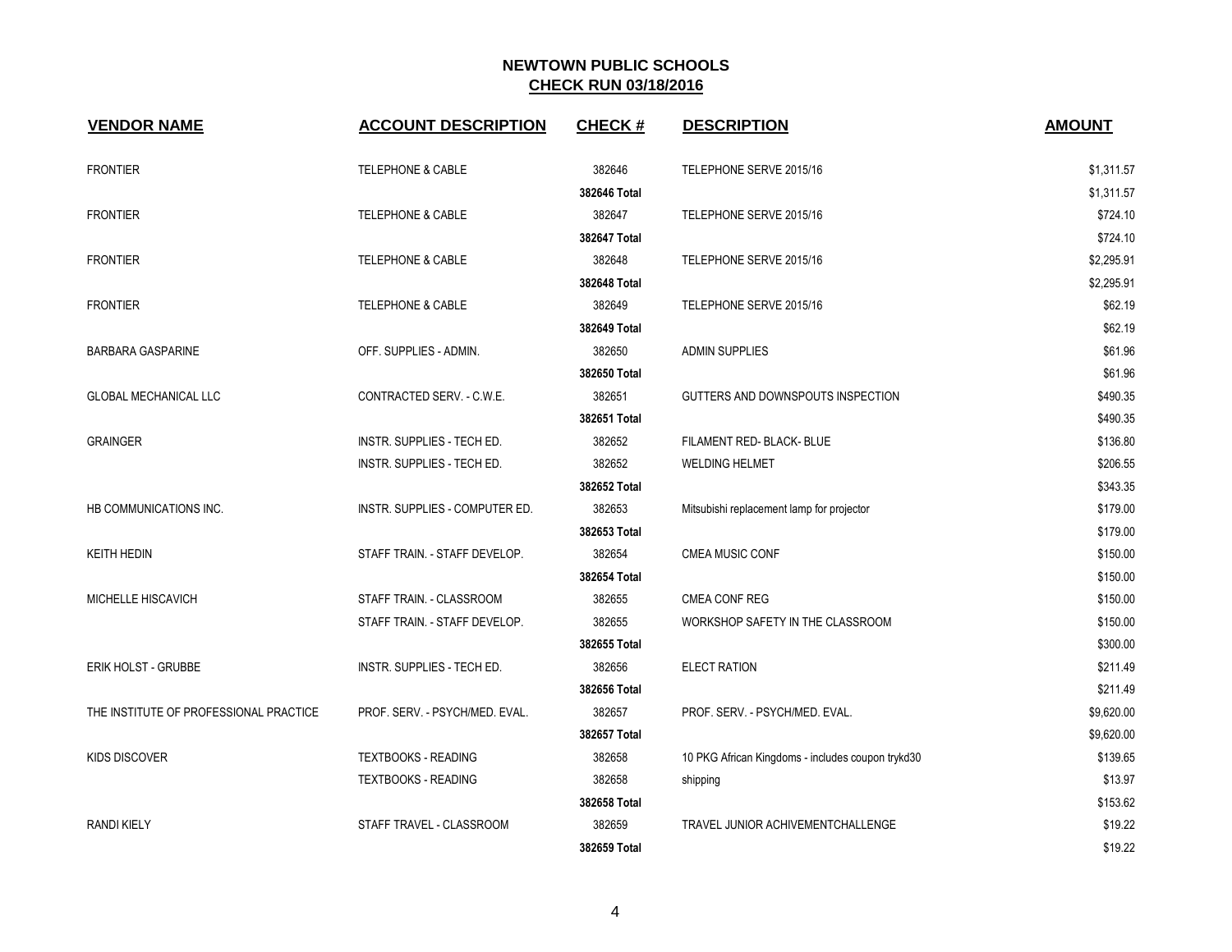| <b>VENDOR NAME</b>                     | <b>ACCOUNT DESCRIPTION</b>     | <b>CHECK#</b> | <b>DESCRIPTION</b>                                | <b>AMOUNT</b> |
|----------------------------------------|--------------------------------|---------------|---------------------------------------------------|---------------|
| <b>FRONTIER</b>                        | <b>TELEPHONE &amp; CABLE</b>   | 382646        | TELEPHONE SERVE 2015/16                           | \$1,311.57    |
|                                        |                                | 382646 Total  |                                                   | \$1,311.57    |
| <b>FRONTIER</b>                        | <b>TELEPHONE &amp; CABLE</b>   | 382647        | TELEPHONE SERVE 2015/16                           | \$724.10      |
|                                        |                                | 382647 Total  |                                                   | \$724.10      |
| <b>FRONTIER</b>                        | <b>TELEPHONE &amp; CABLE</b>   | 382648        | TELEPHONE SERVE 2015/16                           | \$2,295.91    |
|                                        |                                | 382648 Total  |                                                   | \$2,295.91    |
| <b>FRONTIER</b>                        | <b>TELEPHONE &amp; CABLE</b>   | 382649        | TELEPHONE SERVE 2015/16                           | \$62.19       |
|                                        |                                | 382649 Total  |                                                   | \$62.19       |
| <b>BARBARA GASPARINE</b>               | OFF. SUPPLIES - ADMIN.         | 382650        | ADMIN SUPPLIES                                    | \$61.96       |
|                                        |                                | 382650 Total  |                                                   | \$61.96       |
| <b>GLOBAL MECHANICAL LLC</b>           | CONTRACTED SERV. - C.W.E.      | 382651        | GUTTERS AND DOWNSPOUTS INSPECTION                 | \$490.35      |
|                                        |                                | 382651 Total  |                                                   | \$490.35      |
| <b>GRAINGER</b>                        | INSTR. SUPPLIES - TECH ED.     | 382652        | FILAMENT RED- BLACK- BLUE                         | \$136.80      |
|                                        | INSTR. SUPPLIES - TECH ED.     | 382652        | <b>WELDING HELMET</b>                             | \$206.55      |
|                                        |                                | 382652 Total  |                                                   | \$343.35      |
| HB COMMUNICATIONS INC.                 | INSTR. SUPPLIES - COMPUTER ED. | 382653        | Mitsubishi replacement lamp for projector         | \$179.00      |
|                                        |                                | 382653 Total  |                                                   | \$179.00      |
| <b>KEITH HEDIN</b>                     | STAFF TRAIN. - STAFF DEVELOP.  | 382654        | <b>CMEA MUSIC CONF</b>                            | \$150.00      |
|                                        |                                | 382654 Total  |                                                   | \$150.00      |
| <b>MICHELLE HISCAVICH</b>              | STAFF TRAIN. - CLASSROOM       | 382655        | <b>CMEA CONF REG</b>                              | \$150.00      |
|                                        | STAFF TRAIN. - STAFF DEVELOP.  | 382655        | WORKSHOP SAFETY IN THE CLASSROOM                  | \$150.00      |
|                                        |                                | 382655 Total  |                                                   | \$300.00      |
| <b>ERIK HOLST - GRUBBE</b>             | INSTR. SUPPLIES - TECH ED.     | 382656        | <b>ELECT RATION</b>                               | \$211.49      |
|                                        |                                | 382656 Total  |                                                   | \$211.49      |
| THE INSTITUTE OF PROFESSIONAL PRACTICE | PROF. SERV. - PSYCH/MED. EVAL. | 382657        | PROF. SERV. - PSYCH/MED. EVAL.                    | \$9,620.00    |
|                                        |                                | 382657 Total  |                                                   | \$9,620.00    |
| <b>KIDS DISCOVER</b>                   | <b>TEXTBOOKS - READING</b>     | 382658        | 10 PKG African Kingdoms - includes coupon trykd30 | \$139.65      |
|                                        | <b>TEXTBOOKS - READING</b>     | 382658        | shipping                                          | \$13.97       |
|                                        |                                | 382658 Total  |                                                   | \$153.62      |
| <b>RANDI KIELY</b>                     | STAFF TRAVEL - CLASSROOM       | 382659        | TRAVEL JUNIOR ACHIVEMENTCHALLENGE                 | \$19.22       |
|                                        |                                | 382659 Total  |                                                   | \$19.22       |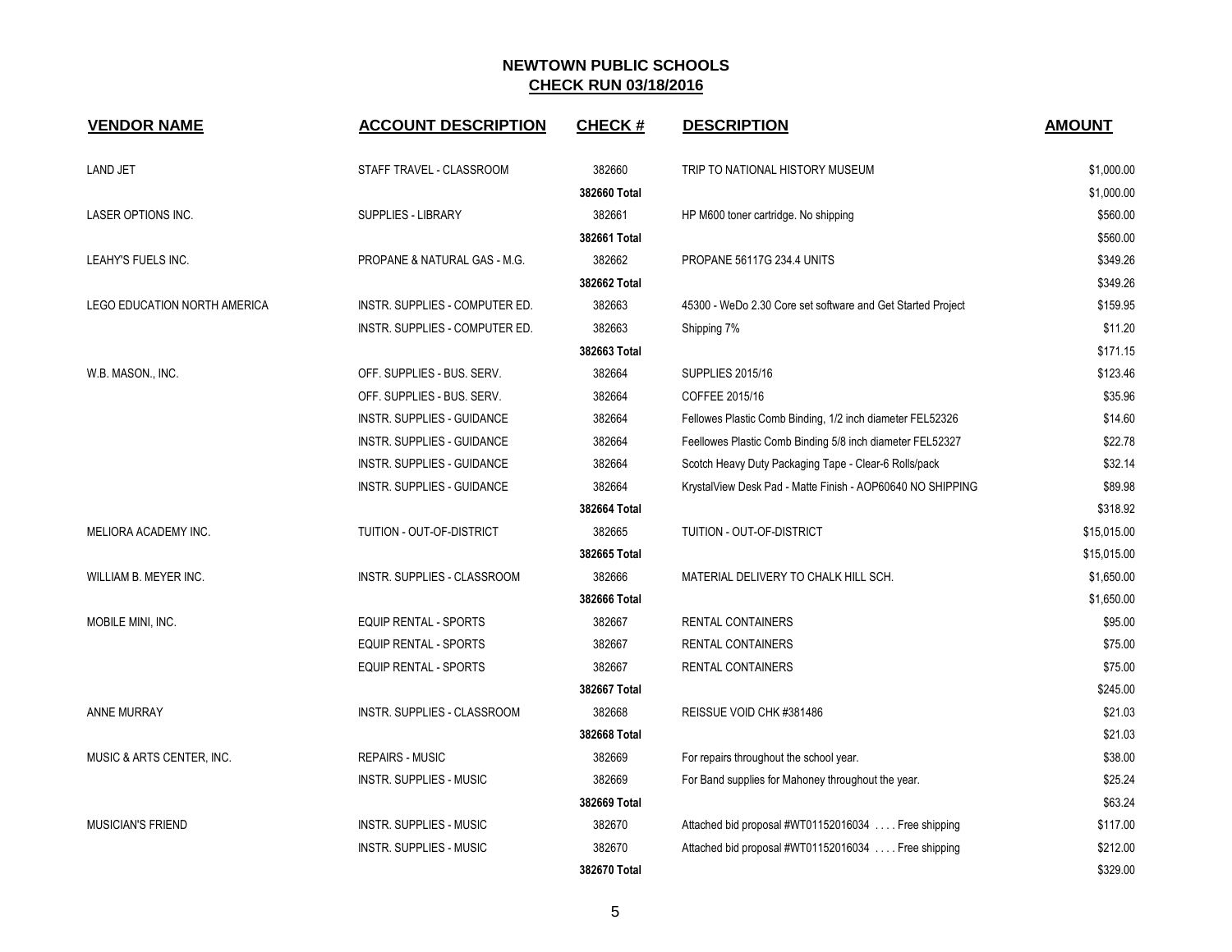| <b>VENDOR NAME</b>           | <b>ACCOUNT DESCRIPTION</b>     | <b>CHECK#</b> | <b>DESCRIPTION</b>                                          | <b>AMOUNT</b> |
|------------------------------|--------------------------------|---------------|-------------------------------------------------------------|---------------|
| <b>LAND JET</b>              | STAFF TRAVEL - CLASSROOM       | 382660        | TRIP TO NATIONAL HISTORY MUSEUM                             | \$1,000.00    |
|                              |                                | 382660 Total  |                                                             | \$1,000.00    |
| LASER OPTIONS INC.           | SUPPLIES - LIBRARY             | 382661        | HP M600 toner cartridge. No shipping                        | \$560.00      |
|                              |                                | 382661 Total  |                                                             | \$560.00      |
| LEAHY'S FUELS INC.           | PROPANE & NATURAL GAS - M.G.   | 382662        | PROPANE 56117G 234.4 UNITS                                  | \$349.26      |
|                              |                                | 382662 Total  |                                                             | \$349.26      |
| LEGO EDUCATION NORTH AMERICA | INSTR. SUPPLIES - COMPUTER ED. | 382663        | 45300 - WeDo 2.30 Core set software and Get Started Project | \$159.95      |
|                              | INSTR. SUPPLIES - COMPUTER ED. | 382663        | Shipping 7%                                                 | \$11.20       |
|                              |                                | 382663 Total  |                                                             | \$171.15      |
| W.B. MASON., INC.            | OFF. SUPPLIES - BUS. SERV.     | 382664        | <b>SUPPLIES 2015/16</b>                                     | \$123.46      |
|                              | OFF. SUPPLIES - BUS. SERV.     | 382664        | COFFEE 2015/16                                              | \$35.96       |
|                              | INSTR. SUPPLIES - GUIDANCE     | 382664        | Fellowes Plastic Comb Binding, 1/2 inch diameter FEL52326   | \$14.60       |
|                              | INSTR. SUPPLIES - GUIDANCE     | 382664        | Feellowes Plastic Comb Binding 5/8 inch diameter FEL52327   | \$22.78       |
|                              | INSTR. SUPPLIES - GUIDANCE     | 382664        | Scotch Heavy Duty Packaging Tape - Clear-6 Rolls/pack       | \$32.14       |
|                              | INSTR. SUPPLIES - GUIDANCE     | 382664        | KrystalView Desk Pad - Matte Finish - AOP60640 NO SHIPPING  | \$89.98       |
|                              |                                | 382664 Total  |                                                             | \$318.92      |
| MELIORA ACADEMY INC.         | TUITION - OUT-OF-DISTRICT      | 382665        | TUITION - OUT-OF-DISTRICT                                   | \$15,015.00   |
|                              |                                | 382665 Total  |                                                             | \$15,015.00   |
| WILLIAM B. MEYER INC.        | INSTR. SUPPLIES - CLASSROOM    | 382666        | MATERIAL DELIVERY TO CHALK HILL SCH.                        | \$1,650.00    |
|                              |                                | 382666 Total  |                                                             | \$1,650.00    |
| MOBILE MINI, INC.            | EQUIP RENTAL - SPORTS          | 382667        | RENTAL CONTAINERS                                           | \$95.00       |
|                              | <b>EQUIP RENTAL - SPORTS</b>   | 382667        | RENTAL CONTAINERS                                           | \$75.00       |
|                              | <b>EQUIP RENTAL - SPORTS</b>   | 382667        | RENTAL CONTAINERS                                           | \$75.00       |
|                              |                                | 382667 Total  |                                                             | \$245.00      |
| ANNE MURRAY                  | INSTR. SUPPLIES - CLASSROOM    | 382668        | REISSUE VOID CHK #381486                                    | \$21.03       |
|                              |                                | 382668 Total  |                                                             | \$21.03       |
| MUSIC & ARTS CENTER, INC.    | <b>REPAIRS - MUSIC</b>         | 382669        | For repairs throughout the school year.                     | \$38.00       |
|                              | <b>INSTR. SUPPLIES - MUSIC</b> | 382669        | For Band supplies for Mahoney throughout the year.          | \$25.24       |
|                              |                                | 382669 Total  |                                                             | \$63.24       |
| <b>MUSICIAN'S FRIEND</b>     | <b>INSTR. SUPPLIES - MUSIC</b> | 382670        | Attached bid proposal #WT01152016034 Free shipping          | \$117.00      |
|                              | <b>INSTR. SUPPLIES - MUSIC</b> | 382670        | Attached bid proposal #WT01152016034  Free shipping         | \$212.00      |
|                              |                                | 382670 Total  |                                                             | \$329.00      |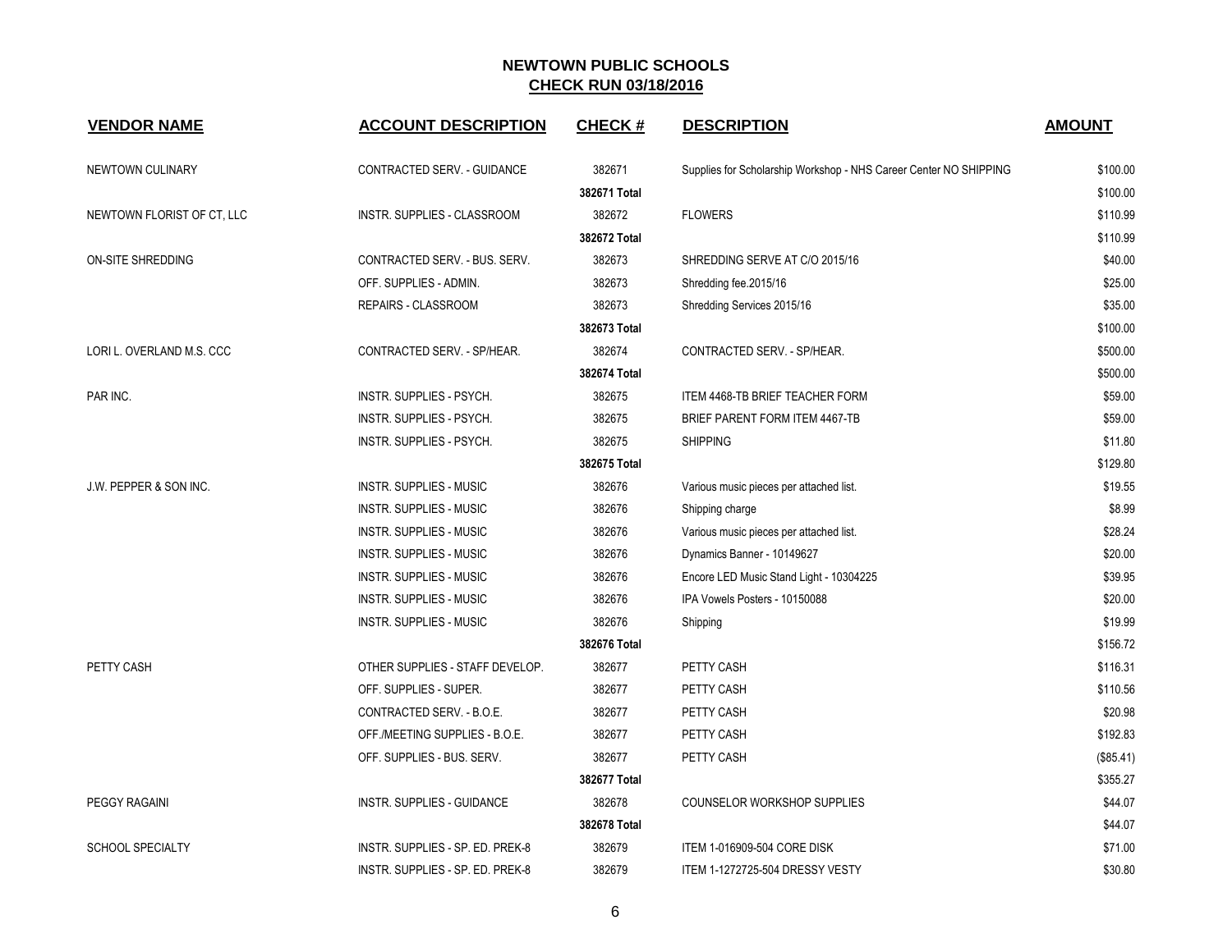| <b>VENDOR NAME</b>         | <b>ACCOUNT DESCRIPTION</b>       | <b>CHECK#</b> | <b>DESCRIPTION</b>                                                | <b>AMOUNT</b> |
|----------------------------|----------------------------------|---------------|-------------------------------------------------------------------|---------------|
| NEWTOWN CULINARY           | CONTRACTED SERV. - GUIDANCE      | 382671        | Supplies for Scholarship Workshop - NHS Career Center NO SHIPPING | \$100.00      |
|                            |                                  | 382671 Total  |                                                                   | \$100.00      |
| NEWTOWN FLORIST OF CT, LLC | INSTR. SUPPLIES - CLASSROOM      | 382672        | <b>FLOWERS</b>                                                    | \$110.99      |
|                            |                                  | 382672 Total  |                                                                   | \$110.99      |
| ON-SITE SHREDDING          | CONTRACTED SERV. - BUS. SERV.    | 382673        | SHREDDING SERVE AT C/O 2015/16                                    | \$40.00       |
|                            | OFF. SUPPLIES - ADMIN.           | 382673        | Shredding fee.2015/16                                             | \$25.00       |
|                            | REPAIRS - CLASSROOM              | 382673        | Shredding Services 2015/16                                        | \$35.00       |
|                            |                                  | 382673 Total  |                                                                   | \$100.00      |
| LORI L. OVERLAND M.S. CCC  | CONTRACTED SERV. - SP/HEAR.      | 382674        | CONTRACTED SERV. - SP/HEAR.                                       | \$500.00      |
|                            |                                  | 382674 Total  |                                                                   | \$500.00      |
| PAR INC.                   | INSTR. SUPPLIES - PSYCH.         | 382675        | ITEM 4468-TB BRIEF TEACHER FORM                                   | \$59.00       |
|                            | INSTR. SUPPLIES - PSYCH.         | 382675        | BRIEF PARENT FORM ITEM 4467-TB                                    | \$59.00       |
|                            | INSTR. SUPPLIES - PSYCH.         | 382675        | <b>SHIPPING</b>                                                   | \$11.80       |
|                            |                                  | 382675 Total  |                                                                   | \$129.80      |
| J.W. PEPPER & SON INC.     | <b>INSTR. SUPPLIES - MUSIC</b>   | 382676        | Various music pieces per attached list.                           | \$19.55       |
|                            | <b>INSTR. SUPPLIES - MUSIC</b>   | 382676        | Shipping charge                                                   | \$8.99        |
|                            | <b>INSTR. SUPPLIES - MUSIC</b>   | 382676        | Various music pieces per attached list.                           | \$28.24       |
|                            | INSTR. SUPPLIES - MUSIC          | 382676        | Dynamics Banner - 10149627                                        | \$20.00       |
|                            | <b>INSTR. SUPPLIES - MUSIC</b>   | 382676        | Encore LED Music Stand Light - 10304225                           | \$39.95       |
|                            | <b>INSTR. SUPPLIES - MUSIC</b>   | 382676        | IPA Vowels Posters - 10150088                                     | \$20.00       |
|                            | <b>INSTR. SUPPLIES - MUSIC</b>   | 382676        | Shipping                                                          | \$19.99       |
|                            |                                  | 382676 Total  |                                                                   | \$156.72      |
| PETTY CASH                 | OTHER SUPPLIES - STAFF DEVELOP.  | 382677        | PETTY CASH                                                        | \$116.31      |
|                            | OFF. SUPPLIES - SUPER.           | 382677        | PETTY CASH                                                        | \$110.56      |
|                            | CONTRACTED SERV. - B.O.E.        | 382677        | PETTY CASH                                                        | \$20.98       |
|                            | OFF./MEETING SUPPLIES - B.O.E.   | 382677        | PETTY CASH                                                        | \$192.83      |
|                            | OFF. SUPPLIES - BUS. SERV.       | 382677        | PETTY CASH                                                        | (\$85.41)     |
|                            |                                  | 382677 Total  |                                                                   | \$355.27      |
| PEGGY RAGAINI              | INSTR. SUPPLIES - GUIDANCE       | 382678        | COUNSELOR WORKSHOP SUPPLIES                                       | \$44.07       |
|                            |                                  | 382678 Total  |                                                                   | \$44.07       |
| <b>SCHOOL SPECIALTY</b>    | INSTR. SUPPLIES - SP. ED. PREK-8 | 382679        | <b>ITEM 1-016909-504 CORE DISK</b>                                | \$71.00       |
|                            | INSTR. SUPPLIES - SP. ED. PREK-8 | 382679        | ITEM 1-1272725-504 DRESSY VESTY                                   | \$30.80       |